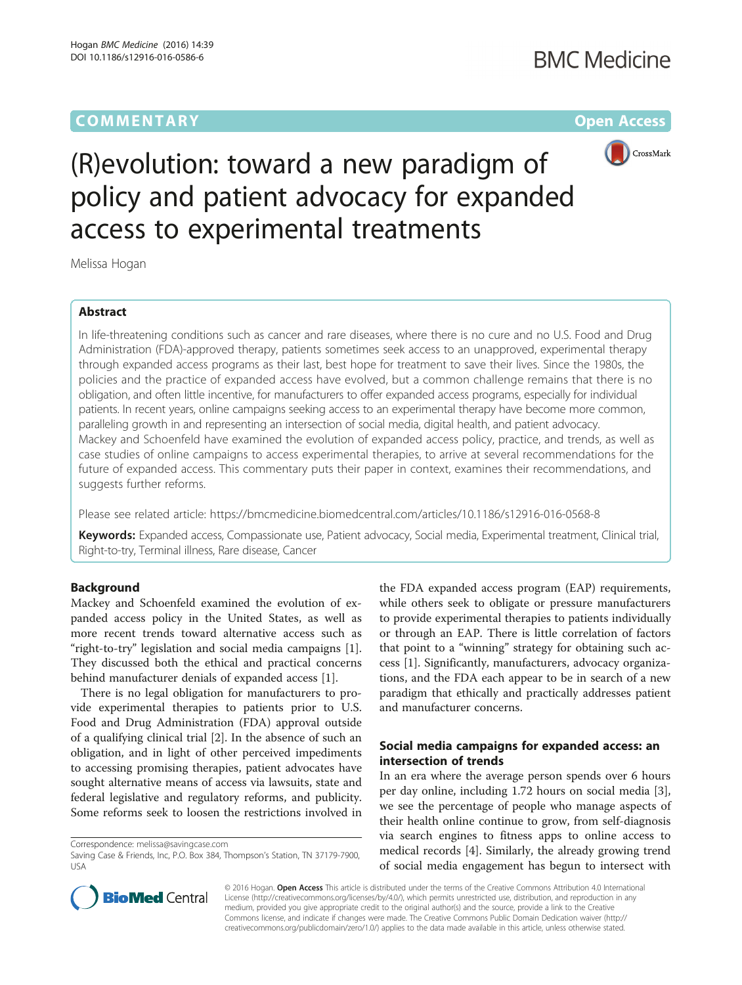# **COMMENTARY COMMENTARY COMMENTARY**



# (R)evolution: toward a new paradigm of policy and patient advocacy for expanded access to experimental treatments

Melissa Hogan

# Abstract

In life-threatening conditions such as cancer and rare diseases, where there is no cure and no U.S. Food and Drug Administration (FDA)-approved therapy, patients sometimes seek access to an unapproved, experimental therapy through expanded access programs as their last, best hope for treatment to save their lives. Since the 1980s, the policies and the practice of expanded access have evolved, but a common challenge remains that there is no obligation, and often little incentive, for manufacturers to offer expanded access programs, especially for individual patients. In recent years, online campaigns seeking access to an experimental therapy have become more common, paralleling growth in and representing an intersection of social media, digital health, and patient advocacy. Mackey and Schoenfeld have examined the evolution of expanded access policy, practice, and trends, as well as case studies of online campaigns to access experimental therapies, to arrive at several recommendations for the future of expanded access. This commentary puts their paper in context, examines their recommendations, and suggests further reforms.

Please see related article:<https://bmcmedicine.biomedcentral.com/articles/10.1186/s12916-016-0568-8>

Keywords: Expanded access, Compassionate use, Patient advocacy, Social media, Experimental treatment, Clinical trial, Right-to-try, Terminal illness, Rare disease, Cancer

## Background

Mackey and Schoenfeld examined the evolution of expanded access policy in the United States, as well as more recent trends toward alternative access such as "right-to-try" legislation and social media campaigns [\[1](#page--1-0)]. They discussed both the ethical and practical concerns behind manufacturer denials of expanded access [\[1](#page--1-0)].

There is no legal obligation for manufacturers to provide experimental therapies to patients prior to U.S. Food and Drug Administration (FDA) approval outside of a qualifying clinical trial [\[2](#page--1-0)]. In the absence of such an obligation, and in light of other perceived impediments to accessing promising therapies, patient advocates have sought alternative means of access via lawsuits, state and federal legislative and regulatory reforms, and publicity. Some reforms seek to loosen the restrictions involved in

Correspondence: [melissa@savingcase.com](mailto:melissa@savingcase.com)

the FDA expanded access program (EAP) requirements, while others seek to obligate or pressure manufacturers to provide experimental therapies to patients individually or through an EAP. There is little correlation of factors that point to a "winning" strategy for obtaining such access [\[1](#page--1-0)]. Significantly, manufacturers, advocacy organizations, and the FDA each appear to be in search of a new paradigm that ethically and practically addresses patient and manufacturer concerns.

# Social media campaigns for expanded access: an intersection of trends

In an era where the average person spends over 6 hours per day online, including 1.72 hours on social media [\[3](#page--1-0)], we see the percentage of people who manage aspects of their health online continue to grow, from self-diagnosis via search engines to fitness apps to online access to medical records [[4\]](#page--1-0). Similarly, the already growing trend of social media engagement has begun to intersect with



© 2016 Hogan. Open Access This article is distributed under the terms of the Creative Commons Attribution 4.0 International License ([http://creativecommons.org/licenses/by/4.0/\)](http://creativecommons.org/licenses/by/4.0/), which permits unrestricted use, distribution, and reproduction in any medium, provided you give appropriate credit to the original author(s) and the source, provide a link to the Creative Commons license, and indicate if changes were made. The Creative Commons Public Domain Dedication waiver ([http://](http://creativecommons.org/publicdomain/zero/1.0/) [creativecommons.org/publicdomain/zero/1.0/\)](http://creativecommons.org/publicdomain/zero/1.0/) applies to the data made available in this article, unless otherwise stated.

Saving Case & Friends, Inc, P.O. Box 384, Thompson's Station, TN 37179-7900, USA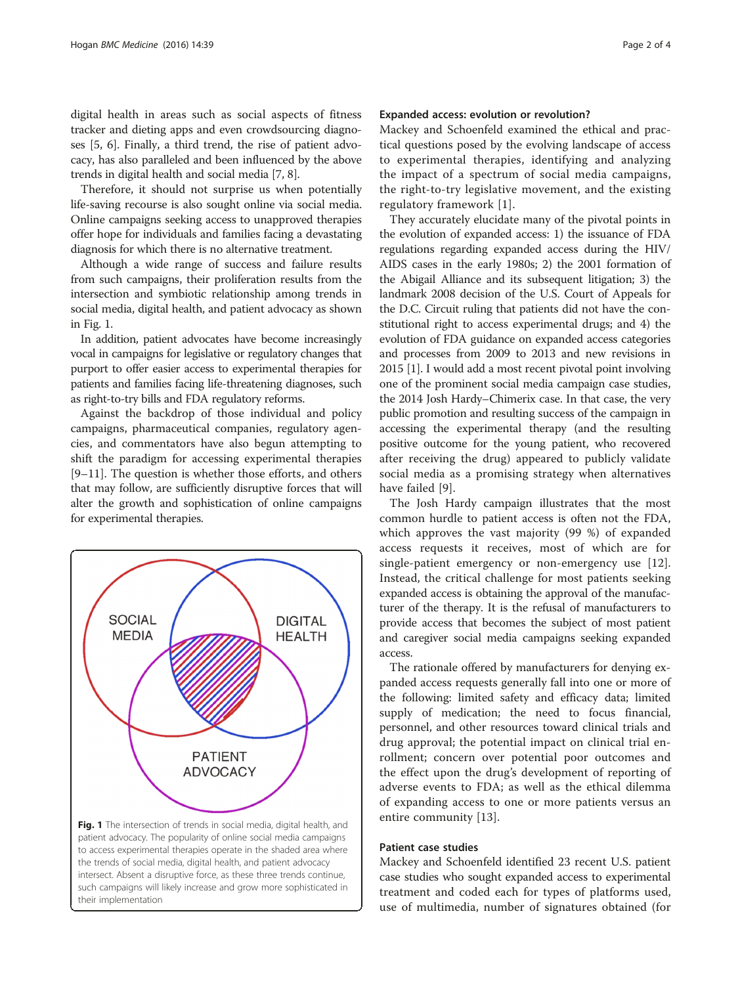digital health in areas such as social aspects of fitness tracker and dieting apps and even crowdsourcing diagnoses [\[5](#page--1-0), [6\]](#page--1-0). Finally, a third trend, the rise of patient advocacy, has also paralleled and been influenced by the above trends in digital health and social media [\[7](#page--1-0), [8\]](#page--1-0).

Therefore, it should not surprise us when potentially life-saving recourse is also sought online via social media. Online campaigns seeking access to unapproved therapies offer hope for individuals and families facing a devastating diagnosis for which there is no alternative treatment.

Although a wide range of success and failure results from such campaigns, their proliferation results from the intersection and symbiotic relationship among trends in social media, digital health, and patient advocacy as shown in Fig. 1.

In addition, patient advocates have become increasingly vocal in campaigns for legislative or regulatory changes that purport to offer easier access to experimental therapies for patients and families facing life-threatening diagnoses, such as right-to-try bills and FDA regulatory reforms.

Against the backdrop of those individual and policy campaigns, pharmaceutical companies, regulatory agencies, and commentators have also begun attempting to shift the paradigm for accessing experimental therapies [[9](#page--1-0)–[11\]](#page--1-0). The question is whether those efforts, and others that may follow, are sufficiently disruptive forces that will alter the growth and sophistication of online campaigns for experimental therapies.



#### Expanded access: evolution or revolution?

Mackey and Schoenfeld examined the ethical and practical questions posed by the evolving landscape of access to experimental therapies, identifying and analyzing the impact of a spectrum of social media campaigns, the right-to-try legislative movement, and the existing regulatory framework [[1](#page--1-0)].

They accurately elucidate many of the pivotal points in the evolution of expanded access: 1) the issuance of FDA regulations regarding expanded access during the HIV/ AIDS cases in the early 1980s; 2) the 2001 formation of the Abigail Alliance and its subsequent litigation; 3) the landmark 2008 decision of the U.S. Court of Appeals for the D.C. Circuit ruling that patients did not have the constitutional right to access experimental drugs; and 4) the evolution of FDA guidance on expanded access categories and processes from 2009 to 2013 and new revisions in 2015 [[1](#page--1-0)]. I would add a most recent pivotal point involving one of the prominent social media campaign case studies, the 2014 Josh Hardy–Chimerix case. In that case, the very public promotion and resulting success of the campaign in accessing the experimental therapy (and the resulting positive outcome for the young patient, who recovered after receiving the drug) appeared to publicly validate social media as a promising strategy when alternatives have failed [\[9](#page--1-0)].

The Josh Hardy campaign illustrates that the most common hurdle to patient access is often not the FDA, which approves the vast majority (99 %) of expanded access requests it receives, most of which are for single-patient emergency or non-emergency use [\[12](#page--1-0)]. Instead, the critical challenge for most patients seeking expanded access is obtaining the approval of the manufacturer of the therapy. It is the refusal of manufacturers to provide access that becomes the subject of most patient and caregiver social media campaigns seeking expanded access.

The rationale offered by manufacturers for denying expanded access requests generally fall into one or more of the following: limited safety and efficacy data; limited supply of medication; the need to focus financial, personnel, and other resources toward clinical trials and drug approval; the potential impact on clinical trial enrollment; concern over potential poor outcomes and the effect upon the drug's development of reporting of adverse events to FDA; as well as the ethical dilemma of expanding access to one or more patients versus an entire community [[13\]](#page--1-0).

#### Patient case studies

Mackey and Schoenfeld identified 23 recent U.S. patient case studies who sought expanded access to experimental treatment and coded each for types of platforms used, use of multimedia, number of signatures obtained (for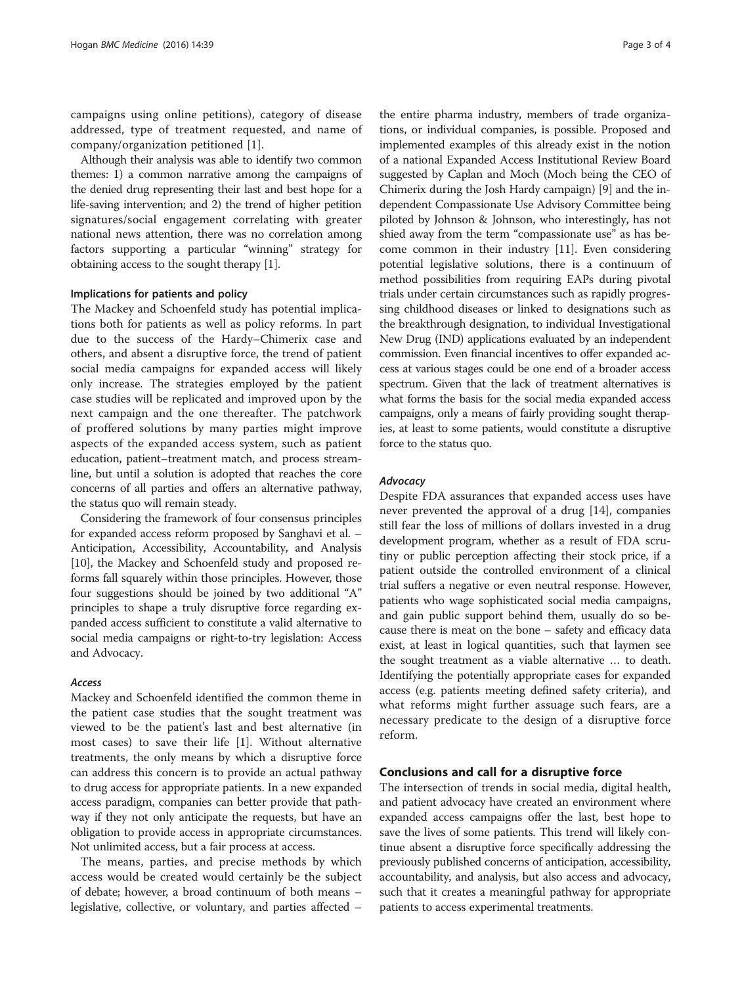campaigns using online petitions), category of disease addressed, type of treatment requested, and name of company/organization petitioned [[1\]](#page--1-0).

Although their analysis was able to identify two common themes: 1) a common narrative among the campaigns of the denied drug representing their last and best hope for a life-saving intervention; and 2) the trend of higher petition signatures/social engagement correlating with greater national news attention, there was no correlation among factors supporting a particular "winning" strategy for obtaining access to the sought therapy [\[1\]](#page--1-0).

### Implications for patients and policy

The Mackey and Schoenfeld study has potential implications both for patients as well as policy reforms. In part due to the success of the Hardy–Chimerix case and others, and absent a disruptive force, the trend of patient social media campaigns for expanded access will likely only increase. The strategies employed by the patient case studies will be replicated and improved upon by the next campaign and the one thereafter. The patchwork of proffered solutions by many parties might improve aspects of the expanded access system, such as patient education, patient–treatment match, and process streamline, but until a solution is adopted that reaches the core concerns of all parties and offers an alternative pathway, the status quo will remain steady.

Considering the framework of four consensus principles for expanded access reform proposed by Sanghavi et al. – Anticipation, Accessibility, Accountability, and Analysis [[10](#page--1-0)], the Mackey and Schoenfeld study and proposed reforms fall squarely within those principles. However, those four suggestions should be joined by two additional "A" principles to shape a truly disruptive force regarding expanded access sufficient to constitute a valid alternative to social media campaigns or right-to-try legislation: Access and Advocacy.

#### Access

Mackey and Schoenfeld identified the common theme in the patient case studies that the sought treatment was viewed to be the patient's last and best alternative (in most cases) to save their life [[1](#page--1-0)]. Without alternative treatments, the only means by which a disruptive force can address this concern is to provide an actual pathway to drug access for appropriate patients. In a new expanded access paradigm, companies can better provide that pathway if they not only anticipate the requests, but have an obligation to provide access in appropriate circumstances. Not unlimited access, but a fair process at access.

The means, parties, and precise methods by which access would be created would certainly be the subject of debate; however, a broad continuum of both means – legislative, collective, or voluntary, and parties affected –

the entire pharma industry, members of trade organizations, or individual companies, is possible. Proposed and implemented examples of this already exist in the notion of a national Expanded Access Institutional Review Board suggested by Caplan and Moch (Moch being the CEO of Chimerix during the Josh Hardy campaign) [[9\]](#page--1-0) and the independent Compassionate Use Advisory Committee being piloted by Johnson & Johnson, who interestingly, has not shied away from the term "compassionate use" as has become common in their industry [[11](#page--1-0)]. Even considering potential legislative solutions, there is a continuum of method possibilities from requiring EAPs during pivotal trials under certain circumstances such as rapidly progressing childhood diseases or linked to designations such as the breakthrough designation, to individual Investigational New Drug (IND) applications evaluated by an independent commission. Even financial incentives to offer expanded access at various stages could be one end of a broader access spectrum. Given that the lack of treatment alternatives is what forms the basis for the social media expanded access campaigns, only a means of fairly providing sought therapies, at least to some patients, would constitute a disruptive force to the status quo.

#### **Advocacy**

Despite FDA assurances that expanded access uses have never prevented the approval of a drug [\[14](#page--1-0)], companies still fear the loss of millions of dollars invested in a drug development program, whether as a result of FDA scrutiny or public perception affecting their stock price, if a patient outside the controlled environment of a clinical trial suffers a negative or even neutral response. However, patients who wage sophisticated social media campaigns, and gain public support behind them, usually do so because there is meat on the bone – safety and efficacy data exist, at least in logical quantities, such that laymen see the sought treatment as a viable alternative … to death. Identifying the potentially appropriate cases for expanded access (e.g. patients meeting defined safety criteria), and what reforms might further assuage such fears, are a necessary predicate to the design of a disruptive force reform.

#### Conclusions and call for a disruptive force

The intersection of trends in social media, digital health, and patient advocacy have created an environment where expanded access campaigns offer the last, best hope to save the lives of some patients. This trend will likely continue absent a disruptive force specifically addressing the previously published concerns of anticipation, accessibility, accountability, and analysis, but also access and advocacy, such that it creates a meaningful pathway for appropriate patients to access experimental treatments.